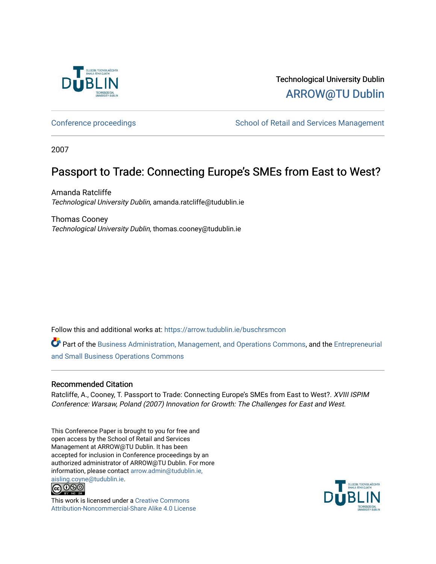

Technological University Dublin [ARROW@TU Dublin](https://arrow.tudublin.ie/) 

[Conference proceedings](https://arrow.tudublin.ie/buschrsmcon) The School of Retail and Services Management

2007

# Passport to Trade: Connecting Europe's SMEs from East to West?

Amanda Ratcliffe Technological University Dublin, amanda.ratcliffe@tudublin.ie

Thomas Cooney Technological University Dublin, thomas.cooney@tudublin.ie

Follow this and additional works at: [https://arrow.tudublin.ie/buschrsmcon](https://arrow.tudublin.ie/buschrsmcon?utm_source=arrow.tudublin.ie%2Fbuschrsmcon%2F22&utm_medium=PDF&utm_campaign=PDFCoverPages) 

Part of the [Business Administration, Management, and Operations Commons](http://network.bepress.com/hgg/discipline/623?utm_source=arrow.tudublin.ie%2Fbuschrsmcon%2F22&utm_medium=PDF&utm_campaign=PDFCoverPages), and the [Entrepreneurial](http://network.bepress.com/hgg/discipline/630?utm_source=arrow.tudublin.ie%2Fbuschrsmcon%2F22&utm_medium=PDF&utm_campaign=PDFCoverPages)  [and Small Business Operations Commons](http://network.bepress.com/hgg/discipline/630?utm_source=arrow.tudublin.ie%2Fbuschrsmcon%2F22&utm_medium=PDF&utm_campaign=PDFCoverPages) 

# Recommended Citation

Ratcliffe, A., Cooney, T. Passport to Trade: Connecting Europe's SMEs from East to West?. XVIII ISPIM Conference: Warsaw, Poland (2007) Innovation for Growth: The Challenges for East and West.

This Conference Paper is brought to you for free and open access by the School of Retail and Services Management at ARROW@TU Dublin. It has been accepted for inclusion in Conference proceedings by an authorized administrator of ARROW@TU Dublin. For more information, please contact [arrow.admin@tudublin.ie,](mailto:arrow.admin@tudublin.ie,%20aisling.coyne@tudublin.ie) 



This work is licensed under a [Creative Commons](http://creativecommons.org/licenses/by-nc-sa/4.0/) [Attribution-Noncommercial-Share Alike 4.0 License](http://creativecommons.org/licenses/by-nc-sa/4.0/)

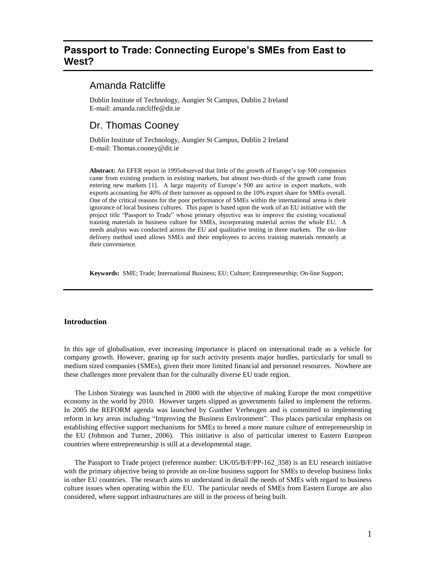# **Passport to Trade: Connecting Europe's SMEs from East to West?**

# Amanda Ratcliffe

Dublin Institute of Technology, Aungier St Campus, Dublin 2 Ireland E-mail: amanda.ratcliffe@dit.ie

# Dr. Thomas Cooney

Dublin Institute of Technology, Aungier St Campus, Dublin 2 Ireland E-mail: Thomas.cooney@dit.ie

**Abstract:** An EFER report in 1995observed that little of the growth of Europe's top 500 companies came from existing products in existing markets, but almost two-thirds of the growth came from entering new markets [1]. A large majority of Europe's 500 are active in export markets, with exports accounting for 40% of their turnover as opposed to the 10% export share for SMEs overall. One of the critical reasons for the poor performance of SMEs within the international arena is their ignorance of local business cultures. This paper is based upon the work of an EU initiative with the project title "Passport to Trade" whose primary objective was to improve the existing vocational training materials in business culture for SMEs, incorporating material across the whole EU. A needs analysis was conducted across the EU and qualitative testing in three markets. The on-line delivery method used allows SMEs and their employees to access training materials remotely at their convenience.

**Keywords:** SME; Trade; International Business; EU; Culture; Entrepreneurship; On-line Support;

#### **Introduction**

In this age of globalisation, ever increasing importance is placed on international trade as a vehicle for company growth. However, gearing up for such activity presents major hurdles, particularly for small to medium sized companies (SMEs), given their more limited financial and personnel resources. Nowhere are these challenges more prevalent than for the culturally diverse EU trade region.

The Lisbon Strategy was launched in 2000 with the objective of making Europe the most competitive economy in the world by 2010. However targets slipped as governments failed to implement the reforms. In 2005 the REFORM agenda was launched by Gunther Verheugen and is committed to implementing reform in key areas including "Improving the Business Environment". This places particular emphasis on establishing effective support mechanisms for SMEs to breed a more mature culture of entrepreneurship in the EU (Johnson and Turner, 2006). This initiative is also of particular interest to Eastern European countries where entrepreneurship is still at a developmental stage.

The Passport to Trade project (reference number: UK/05/B/F/PP-162\_358) is an EU research initiative with the primary objective being to provide an on-line business support for SMEs to develop business links in other EU countries. The research aims to understand in detail the needs of SMEs with regard to business culture issues when operating within the EU. The particular needs of SMEs from Eastern Europe are also considered, where support infrastructures are still in the process of being built.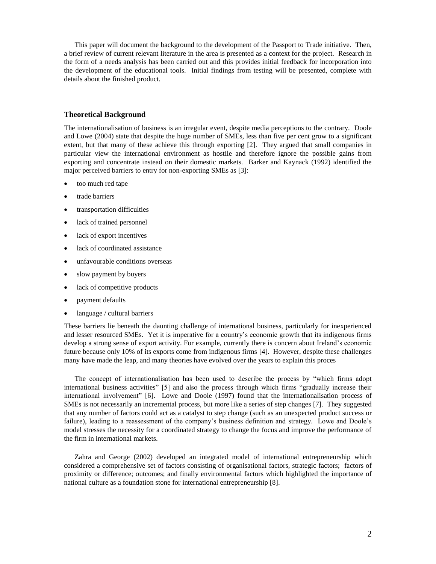This paper will document the background to the development of the Passport to Trade initiative. Then, a brief review of current relevant literature in the area is presented as a context for the project. Research in the form of a needs analysis has been carried out and this provides initial feedback for incorporation into the development of the educational tools. Initial findings from testing will be presented, complete with details about the finished product.

#### **Theoretical Background**

The internationalisation of business is an irregular event, despite media perceptions to the contrary. Doole and Lowe (2004) state that despite the huge number of SMEs, less than five per cent grow to a significant extent, but that many of these achieve this through exporting [2]. They argued that small companies in particular view the international environment as hostile and therefore ignore the possible gains from exporting and concentrate instead on their domestic markets. Barker and Kaynack (1992) identified the major perceived barriers to entry for non-exporting SMEs as [3]:

- too much red tape
- trade barriers
- transportation difficulties
- lack of trained personnel
- lack of export incentives
- lack of coordinated assistance
- unfavourable conditions overseas
- slow payment by buyers
- lack of competitive products
- payment defaults
- language / cultural barriers

These barriers lie beneath the daunting challenge of international business, particularly for inexperienced and lesser resourced SMEs. Yet it is imperative for a country's economic growth that its indigenous firms develop a strong sense of export activity. For example, currently there is concern about Ireland's economic future because only 10% of its exports come from indigenous firms [4]. However, despite these challenges many have made the leap, and many theories have evolved over the years to explain this proces

The concept of internationalisation has been used to describe the process by "which firms adopt international business activities" [5] and also the process through which firms "gradually increase their international involvement" [6]. Lowe and Doole (1997) found that the internationalisation process of SMEs is not necessarily an incremental process, but more like a series of step changes [7]. They suggested that any number of factors could act as a catalyst to step change (such as an unexpected product success or failure), leading to a reassessment of the company's business definition and strategy. Lowe and Doole's model stresses the necessity for a coordinated strategy to change the focus and improve the performance of the firm in international markets.

Zahra and George (2002) developed an integrated model of international entrepreneurship which considered a comprehensive set of factors consisting of organisational factors, strategic factors; factors of proximity or difference; outcomes; and finally environmental factors which highlighted the importance of national culture as a foundation stone for international entrepreneurship [8].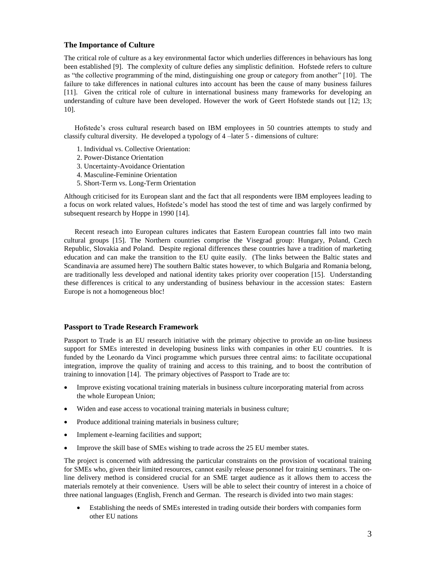#### **The Importance of Culture**

The critical role of culture as a key environmental factor which underlies differences in behaviours has long been established [9]. The complexity of culture defies any simplistic definition. Hofstede refers to culture as "the collective programming of the mind, distinguishing one group or category from another" [10]. The failure to take differences in national cultures into account has been the cause of many business failures [11]. Given the critical role of culture in international business many frameworks for developing an understanding of culture have been developed. However the work of Geert Hofstede stands out [12; 13; 10].

Hofstede's cross cultural research based on IBM employees in 50 countries attempts to study and classify cultural diversity. He developed a typology of 4 –later 5 - dimensions of culture:

- 1. Individual vs. Collective Orientation:
- 2. Power-Distance Orientation
- 3. Uncertainty-Avoidance Orientation
- 4. Masculine-Feminine Orientation
- 5. Short-Term vs. Long-Term Orientation

Although criticised for its European slant and the fact that all respondents were IBM employees leading to a focus on work related values, Hofstede's model has stood the test of time and was largely confirmed by subsequent research by Hoppe in 1990 [14].

Recent reseach into European cultures indicates that Eastern European countries fall into two main cultural groups [15]. The Northern countries comprise the Visegrad group: Hungary, Poland, Czech Republic, Slovakia and Poland. Despite regional differences these countries have a tradition of marketing education and can make the transition to the EU quite easily. (The links between the Baltic states and Scandinavia are assumed here) The southern Baltic states however, to which Bulgaria and Romania belong, are traditionally less developed and national identity takes priority over cooperation [15]. Understanding these differences is critical to any understanding of business behaviour in the accession states: Eastern Europe is not a homogeneous bloc!

#### **Passport to Trade Research Framework**

Passport to Trade is an EU research initiative with the primary objective to provide an on-line business support for SMEs interested in developing business links with companies in other EU countries. It is funded by the Leonardo da Vinci programme which pursues three central aims: to facilitate occupational integration, improve the quality of training and access to this training, and to boost the contribution of training to innovation [14]. The primary objectives of Passport to Trade are to:

- Improve existing vocational training materials in business culture incorporating material from across the whole European Union;
- Widen and ease access to vocational training materials in business culture;
- Produce additional training materials in business culture;
- Implement e-learning facilities and support;
- Improve the skill base of SMEs wishing to trade across the 25 EU member states.

The project is concerned with addressing the particular constraints on the provision of vocational training for SMEs who, given their limited resources, cannot easily release personnel for training seminars. The online delivery method is considered crucial for an SME target audience as it allows them to access the materials remotely at their convenience. Users will be able to select their country of interest in a choice of three national languages (English, French and German. The research is divided into two main stages:

 Establishing the needs of SMEs interested in trading outside their borders with companies form other EU nations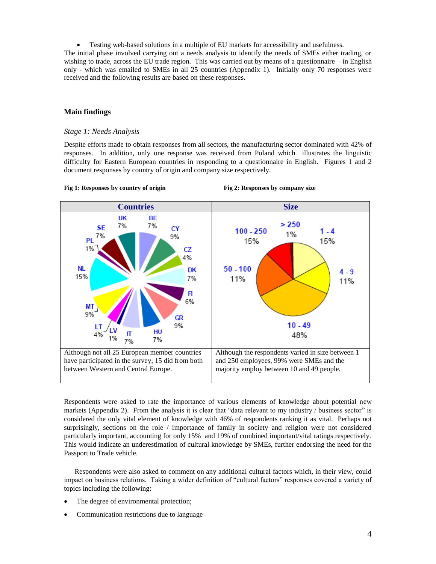Testing web-based solutions in a multiple of EU markets for accessibility and usefulness.

The initial phase involved carrying out a needs analysis to identify the needs of SMEs either trading, or wishing to trade, across the EU trade region. This was carried out by means of a questionnaire – in English only - which was emailed to SMEs in all 25 countries (Appendix 1). Initially only 70 responses were received and the following results are based on these responses.

#### **Main findings**

#### *Stage 1: Needs Analysis*

Despite efforts made to obtain responses from all sectors, the manufacturing sector dominated with 42% of responses. In addition, only one response was received from Poland which illustrates the linguistic difficulty for Eastern European countries in responding to a questionnaire in English. Figures 1 and 2 document responses by country of origin and company size respectively.



**Fig 1: Responses by country of origin Fig 2: Responses by company size**

Respondents were asked to rate the importance of various elements of knowledge about potential new markets (Appendix 2). From the analysis it is clear that "data relevant to my industry / business sector" is considered the only vital element of knowledge with 46% of respondents ranking it as vital. Perhaps not surprisingly, sections on the role / importance of family in society and religion were not considered particularly important, accounting for only 15% and 19% of combined important/vital ratings respectively. This would indicate an underestimation of cultural knowledge by SMEs, further endorsing the need for the Passport to Trade vehicle.

Respondents were also asked to comment on any additional cultural factors which, in their view, could impact on business relations. Taking a wider definition of "cultural factors" responses covered a variety of topics including the following:

- The degree of environmental protection;
- Communication restrictions due to language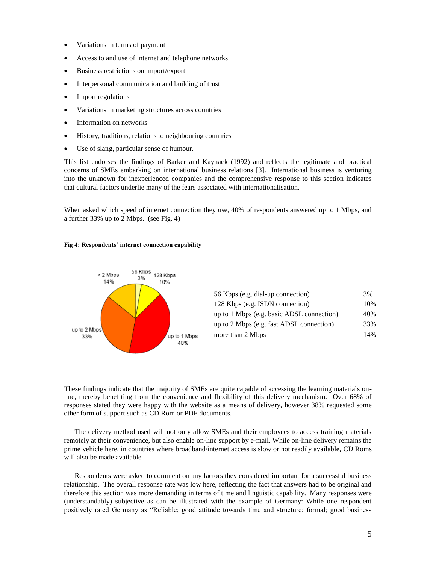- Variations in terms of payment
- Access to and use of internet and telephone networks
- Business restrictions on import/export
- Interpersonal communication and building of trust
- Import regulations
- Variations in marketing structures across countries
- Information on networks
- History, traditions, relations to neighbouring countries
- Use of slang, particular sense of humour.

This list endorses the findings of Barker and Kaynack (1992) and reflects the legitimate and practical concerns of SMEs embarking on international business relations [3]. International business is venturing into the unknown for inexperienced companies and the comprehensive response to this section indicates that cultural factors underlie many of the fears associated with internationalisation.

When asked which speed of internet connection they use, 40% of respondents answered up to 1 Mbps, and a further 33% up to 2 Mbps. (see Fig. 4)

#### **Fig 4: Respondents' internet connection capability**



| 56 Kbps (e.g. dial-up connection)         | 3%  |
|-------------------------------------------|-----|
| 128 Kbps (e.g. ISDN connection)           | 10% |
| up to 1 Mbps (e.g. basic ADSL connection) | 40% |
| up to 2 Mbps (e.g. fast ADSL connection)  | 33% |
| more than 2 Mbps                          | 14% |

These findings indicate that the majority of SMEs are quite capable of accessing the learning materials online, thereby benefiting from the convenience and flexibility of this delivery mechanism. Over 68% of responses stated they were happy with the website as a means of delivery, however 38% requested some other form of support such as CD Rom or PDF documents.

The delivery method used will not only allow SMEs and their employees to access training materials remotely at their convenience, but also enable on-line support by e-mail. While on-line delivery remains the prime vehicle here, in countries where broadband/internet access is slow or not readily available, CD Roms will also be made available.

Respondents were asked to comment on any factors they considered important for a successful business relationship. The overall response rate was low here, reflecting the fact that answers had to be original and therefore this section was more demanding in terms of time and linguistic capability. Many responses were (understandably) subjective as can be illustrated with the example of Germany: While one respondent positively rated Germany as "Reliable; good attitude towards time and structure; formal; good business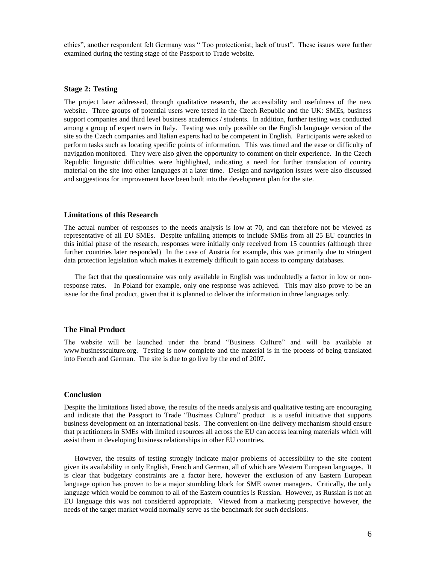ethics", another respondent felt Germany was " Too protectionist; lack of trust". These issues were further examined during the testing stage of the Passport to Trade website.

#### **Stage 2: Testing**

The project later addressed, through qualitative research, the accessibility and usefulness of the new website. Three groups of potential users were tested in the Czech Republic and the UK: SMEs, business support companies and third level business academics / students. In addition, further testing was conducted among a group of expert users in Italy. Testing was only possible on the English language version of the site so the Czech companies and Italian experts had to be competent in English. Participants were asked to perform tasks such as locating specific points of information. This was timed and the ease or difficulty of navigation monitored. They were also given the opportunity to comment on their experience. In the Czech Republic linguistic difficulties were highlighted, indicating a need for further translation of country material on the site into other languages at a later time. Design and navigation issues were also discussed and suggestions for improvement have been built into the development plan for the site.

#### **Limitations of this Research**

The actual number of responses to the needs analysis is low at 70, and can therefore not be viewed as representative of all EU SMEs. Despite unfailing attempts to include SMEs from all 25 EU countries in this initial phase of the research, responses were initially only received from 15 countries (although three further countries later responded) In the case of Austria for example, this was primarily due to stringent data protection legislation which makes it extremely difficult to gain access to company databases.

The fact that the questionnaire was only available in English was undoubtedly a factor in low or nonresponse rates. In Poland for example, only one response was achieved. This may also prove to be an issue for the final product, given that it is planned to deliver the information in three languages only.

#### **The Final Product**

The website will be launched under the brand "Business Culture" and will be available at [www.businessculture.org.](http://www.businessculture.org/) Testing is now complete and the material is in the process of being translated into French and German. The site is due to go live by the end of 2007.

#### **Conclusion**

Despite the limitations listed above, the results of the needs analysis and qualitative testing are encouraging and indicate that the Passport to Trade "Business Culture" product is a useful initiative that supports business development on an international basis. The convenient on-line delivery mechanism should ensure that practitioners in SMEs with limited resources all across the EU can access learning materials which will assist them in developing business relationships in other EU countries.

However, the results of testing strongly indicate major problems of accessibility to the site content given its availability in only English, French and German, all of which are Western European languages. It is clear that budgetary constraints are a factor here, however the exclusion of any Eastern European language option has proven to be a major stumbling block for SME owner managers. Critically, the only language which would be common to all of the Eastern countries is Russian. However, as Russian is not an EU language this was not considered appropriate. Viewed from a marketing perspective however, the needs of the target market would normally serve as the benchmark for such decisions.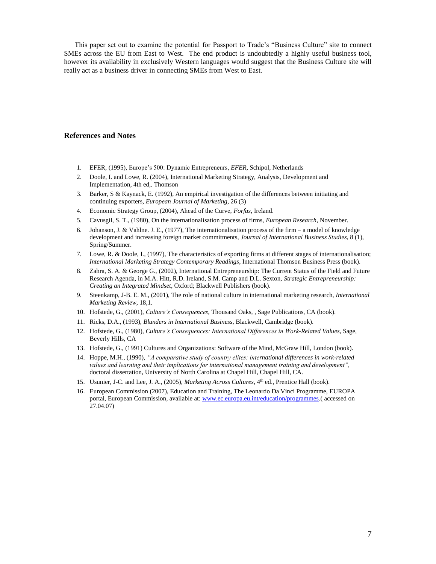This paper set out to examine the potential for Passport to Trade's "Business Culture" site to connect SMEs across the EU from East to West. The end product is undoubtedly a highly useful business tool, however its availability in exclusively Western languages would suggest that the Business Culture site will really act as a business driver in connecting SMEs from West to East.

#### **References and Notes**

- 1. EFER, (1995), Europe's 500: Dynamic Entrepreneurs, *EFER*, Schipol, Netherlands
- 2. Doole, I. and Lowe, R. (2004), International Marketing Strategy, Analysis, Development and Implementation, 4th ed,. Thomson
- 3. Barker, S & Kaynack, E. (1992), An empirical investigation of the differences between initiating and continuing exporters, *European Journal of Marketing*, 26 (3)
- 4. Economic Strategy Group, (2004), Ahead of the Curve, *Forfas*, Ireland.
- 5. Cavusgil, S. T., (1980), On the internationalisation process of firms, *European Research*, November.
- 6. Johanson, J. & Vahlne. J. E., (1977), The internationalisation process of the firm a model of knowledge development and increasing foreign market commitments, *Journal of International Business Studies*, 8 (1), Spring/Summer.
- 7. Lowe, R. & Doole, I., (1997), The characteristics of exporting firms at different stages of internationalisation; *International Marketing Strategy Contemporary Readings*, International Thomson Business Press (book).
- 8. Zahra, S. A. & George G., (2002), International Entrepreneurship: The Current Status of the Field and Future Research Agenda, in M.A. Hitt, R.D. Ireland, S.M. Camp and D.L. Sexton, *Strategic Entrepreneurship: Creating an Integrated Mindset*, Oxford; Blackwell Publishers (book).
- 9. Steenkamp, J-B. E. M., (2001), The role of national culture in international marketing research*, International Marketing Review*, 18,1.
- 10. Hofstede, G., (2001), *Culture's Consequences*, Thousand Oaks, , Sage Publications, CA (book).
- 11. Ricks, D.A., (1993), *Blunders in International Business*, Blackwell, Cambridge (book).
- 12. Hofstede, G., (1980), *Culture's Consequences: International Differences in Work-Related Values*, Sage, Beverly Hills, CA
- 13. Hofstede, G., (1991) Cultures and Organizations: Software of the Mind, McGraw Hill, London (book).
- 14. Hoppe, M.H., (1990), *"A comparative study of country elites: international differences in work-related values and learning and their implications for international management training and development",* doctoral dissertation, University of North Carolina at Chapel Hill, Chapel Hill, CA.
- 15. Usunier, J-C. and Lee, J. A., (2005), *Marketing Across Cultures*, 4th ed., Prentice Hall (book).
- 16. European Commission (2007), Education and Training, The Leonardo Da Vinci Programme, EUROPA portal, European Commission, available at: [www.ec.europa.eu.int/education/programmes.](http://www.ec.europa.eu.int/education/programmes)( accessed on 27.04.07)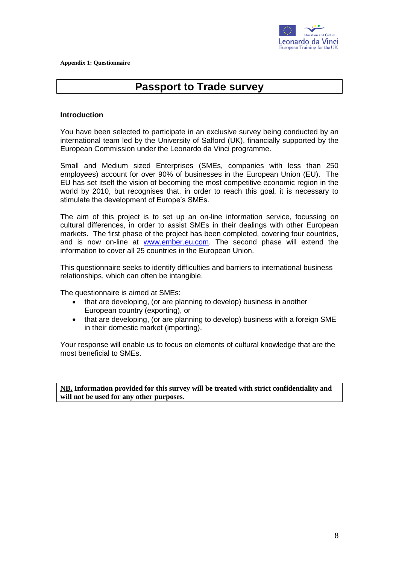

# **Passport to Trade survey**

#### **Introduction**

You have been selected to participate in an exclusive survey being conducted by an international team led by the University of Salford (UK), financially supported by the European Commission under the Leonardo da Vinci programme.

Small and Medium sized Enterprises (SMEs, companies with less than 250 employees) account for over 90% of businesses in the European Union (EU). The EU has set itself the vision of becoming the most competitive economic region in the world by 2010, but recognises that, in order to reach this goal, it is necessary to stimulate the development of Europe's SMEs.

The aim of this project is to set up an on-line information service, focussing on cultural differences, in order to assist SMEs in their dealings with other European markets. The first phase of the project has been completed, covering four countries, and is now on-line at [www.ember.eu.com.](http://www.ember.eu.com/) The second phase will extend the information to cover all 25 countries in the European Union.

This questionnaire seeks to identify difficulties and barriers to international business relationships, which can often be intangible.

The questionnaire is aimed at SMEs:

- that are developing, (or are planning to develop) business in another European country (exporting), or
- that are developing, (or are planning to develop) business with a foreign SME in their domestic market (importing).

Your response will enable us to focus on elements of cultural knowledge that are the most beneficial to SMEs.

**NB. Information provided for this survey will be treated with strict confidentiality and will not be used for any other purposes.**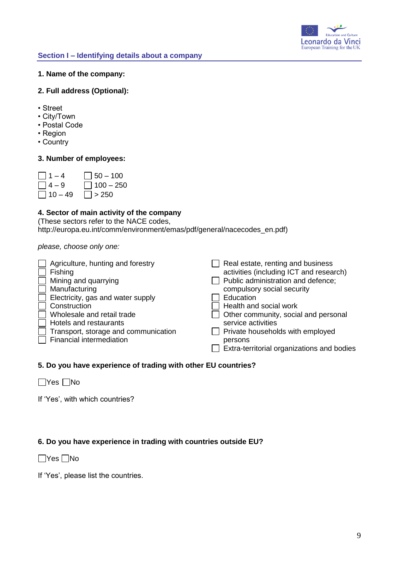

### **1. Name of the company:**

### **2. Full address (Optional):**

- Street
- City/Town
- Postal Code
- Region
- Country

# **3. Number of employees:**

| $ $   1 – 4 | $\Box$ 50 – 100  |
|-------------|------------------|
| $ $   4 – 9 | $\Box$ 100 – 250 |
| $ 10 - 49$  | $ $   $>$ 250    |

# **4. Sector of main activity of the company**

(These sectors refer to the NACE codes, http://europa.eu.int/comm/environment/emas/pdf/general/nacecodes\_en.pdf)

*please, choose only one:*

| Real estate, renting and business          |
|--------------------------------------------|
| activities (including ICT and research)    |
| Public administration and defence;         |
| compulsory social security                 |
| Education                                  |
| Health and social work                     |
| Other community, social and personal       |
| service activities                         |
| Private households with employed           |
| persons                                    |
| Extra-territorial organizations and bodies |
|                                            |

# **5. Do you have experience of trading with other EU countries?**

 $\Box$ Yes  $\Box$ No

If 'Yes', with which countries?

# **6. Do you have experience in trading with countries outside EU?**

 $\Box$ Yes  $\Box$ No

If 'Yes', please list the countries.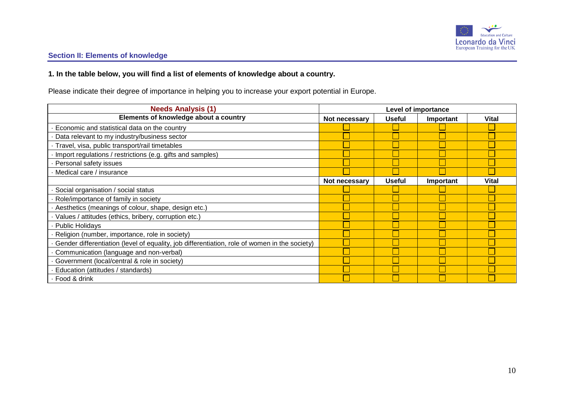

# **Section II: Elements of knowledge**

# **1. In the table below, you will find a list of elements of knowledge about a country.**

Please indicate their degree of importance in helping you to increase your export potential in Europe.

| <b>Needs Analysis (1)</b>                                                                     | <b>Level of importance</b> |               |           |              |
|-----------------------------------------------------------------------------------------------|----------------------------|---------------|-----------|--------------|
| Elements of knowledge about a country                                                         | Not necessary              | <b>Useful</b> | Important | <b>Vital</b> |
| Economic and statistical data on the country                                                  |                            |               |           |              |
| Data relevant to my industry/business sector                                                  |                            |               |           |              |
| Travel, visa, public transport/rail timetables                                                |                            |               |           |              |
| Import regulations / restrictions (e.g. gifts and samples)                                    |                            |               |           |              |
| Personal safety issues                                                                        |                            |               |           |              |
| Medical care / insurance                                                                      |                            |               |           |              |
|                                                                                               | Not necessary              | <b>Useful</b> | Important | <b>Vital</b> |
| Social organisation / social status                                                           |                            |               |           |              |
| Role/importance of family in society                                                          |                            |               |           |              |
| Aesthetics (meanings of colour, shape, design etc.)                                           |                            |               |           |              |
| Values / attitudes (ethics, bribery, corruption etc.)                                         |                            |               |           |              |
| <b>Public Holidays</b>                                                                        |                            |               |           |              |
| Religion (number, importance, role in society)                                                |                            |               |           |              |
| Gender differentiation (level of equality, job differentiation, role of women in the society) |                            |               |           |              |
| Communication (language and non-verbal)                                                       |                            |               |           |              |
| Government (local/central & role in society)                                                  |                            |               |           |              |
| Education (attitudes / standards)                                                             |                            |               |           |              |
| · Food & drink                                                                                |                            |               |           |              |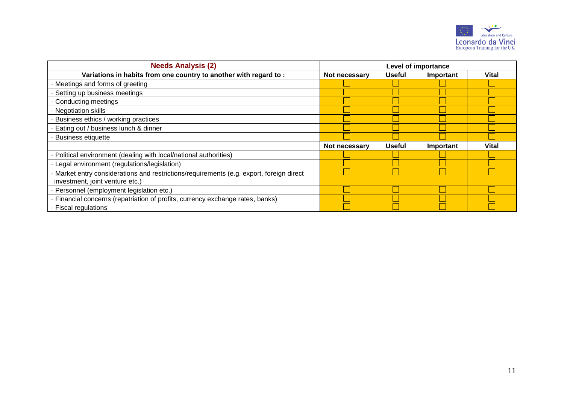

| <b>Needs Analysis (2)</b>                                                                                                 | Level of importance |               |           |              |
|---------------------------------------------------------------------------------------------------------------------------|---------------------|---------------|-----------|--------------|
| Variations in habits from one country to another with regard to:                                                          | Not necessary       | <b>Useful</b> | Important | <b>Vital</b> |
| Meetings and forms of greeting                                                                                            |                     |               |           |              |
| Setting up business meetings                                                                                              |                     |               |           |              |
| Conducting meetings                                                                                                       |                     |               |           |              |
| <b>Negotiation skills</b>                                                                                                 |                     |               |           |              |
| Business ethics / working practices                                                                                       |                     |               |           |              |
| Eating out / business lunch & dinner                                                                                      |                     |               |           |              |
| <b>Business etiquette</b>                                                                                                 |                     |               |           |              |
|                                                                                                                           | Not necessary       | <b>Useful</b> | Important | <b>Vital</b> |
| Political environment (dealing with local/national authorities)                                                           |                     |               |           |              |
| Legal environment (regulations/legislation)                                                                               |                     |               |           |              |
| Market entry considerations and restrictions/requirements (e.g. export, foreign direct<br>investment, joint venture etc.) |                     |               |           |              |
| Personnel (employment legislation etc.)                                                                                   |                     |               |           |              |
| Financial concerns (repatriation of profits, currency exchange rates, banks)                                              |                     |               |           |              |
| · Fiscal regulations                                                                                                      |                     |               |           |              |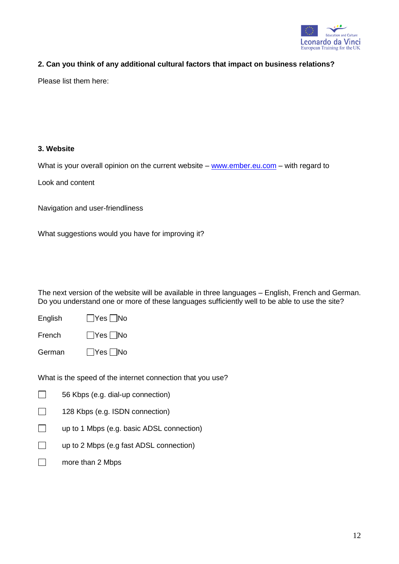

# **2. Can you think of any additional cultural factors that impact on business relations?**

Please list them here:

# **3. Website**

What is your overall opinion on the current website –  $www.ember.eu.com$  – with regard to

Look and content

Navigation and user-friendliness

What suggestions would you have for improving it?

The next version of the website will be available in three languages – English, French and German. Do you understand one or more of these languages sufficiently well to be able to use the site?

| English | $\Box$ Yes $\Box$ No |  |
|---------|----------------------|--|
|         |                      |  |

| French | $\Box$ Yes $\Box$ No |  |
|--------|----------------------|--|
|        |                      |  |

German **Yes** No

What is the speed of the internet connection that you use?

 $\Box$ 56 Kbps (e.g. dial-up connection)

- $\Box$ 128 Kbps (e.g. ISDN connection)
- □ up to 1 Mbps (e.g. basic ADSL connection)
- □ up to 2 Mbps (e.g fast ADSL connection)
- □ more than 2 Mbps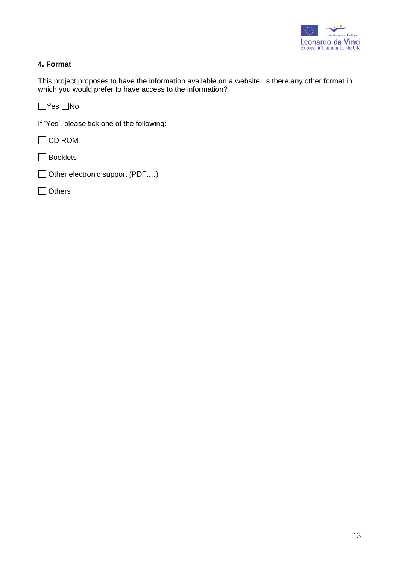

# **4. Format**

This project proposes to have the information available on a website. Is there any other format in which you would prefer to have access to the information?

 $\Box$ Yes  $\Box$ No

If 'Yes', please tick one of the following:

□ CD ROM

**□** Booklets

□ Other electronic support (PDF,...)

□ Others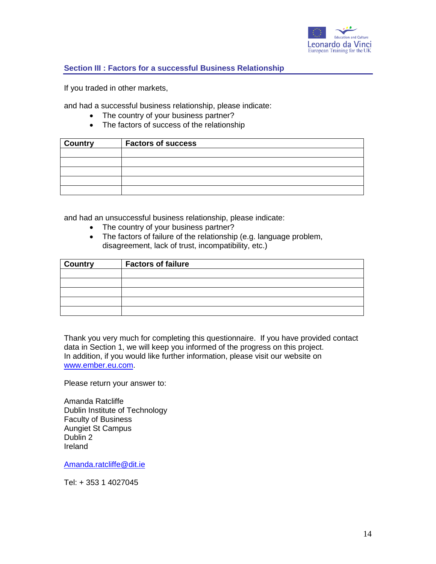

### **Section III : Factors for a successful Business Relationship**

If you traded in other markets,

and had a successful business relationship, please indicate:

- The country of your business partner?
- The factors of success of the relationship

| <b>Country</b> | <b>Factors of success</b> |
|----------------|---------------------------|
|                |                           |
|                |                           |
|                |                           |
|                |                           |
|                |                           |

and had an unsuccessful business relationship, please indicate:

- The country of your business partner?
- The factors of failure of the relationship (e.g. language problem, disagreement, lack of trust, incompatibility, etc.)

| <b>Country</b> | <b>Factors of failure</b> |
|----------------|---------------------------|
|                |                           |
|                |                           |
|                |                           |
|                |                           |
|                |                           |

Thank you very much for completing this questionnaire. If you have provided contact data in Section 1, we will keep you informed of the progress on this project. In addition, if you would like further information, please visit our website on [www.ember.eu.com.](http://www.ember.eu.com/)

Please return your answer to:

Amanda Ratcliffe Dublin Institute of Technology Faculty of Business Aungiet St Campus Dublin 2 Ireland

[Amanda.ratcliffe@dit.ie](mailto:Amanda.ratcliffe@dit.ie)

Tel: + 353 1 4027045